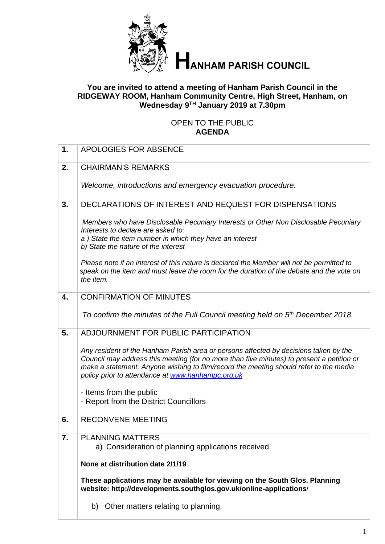

# **HANHAM PARISH COUNCIL**

#### **You are invited to attend a meeting of Hanham Parish Council in the RIDGEWAY ROOM, Hanham Community Centre, High Street, Hanham, on Wednesday 9 TH January 2019 at 7.30pm**

# OPEN TO THE PUBLIC **AGENDA**

| 1. | APOLOGIES FOR ABSENCE                                                                                                                                                                                                                                                                                                           |
|----|---------------------------------------------------------------------------------------------------------------------------------------------------------------------------------------------------------------------------------------------------------------------------------------------------------------------------------|
| 2. | <b>CHAIRMAN'S REMARKS</b>                                                                                                                                                                                                                                                                                                       |
|    | Welcome, introductions and emergency evacuation procedure.                                                                                                                                                                                                                                                                      |
| 3. | DECLARATIONS OF INTEREST AND REQUEST FOR DISPENSATIONS                                                                                                                                                                                                                                                                          |
|    | Members who have Disclosable Pecuniary Interests or Other Non Disclosable Pecuniary<br>Interests to declare are asked to:<br>a) State the item number in which they have an interest<br>b) State the nature of the interest                                                                                                     |
|    | Please note if an interest of this nature is declared the Member will not be permitted to<br>speak on the item and must leave the room for the duration of the debate and the vote on<br>the item.                                                                                                                              |
| 4. | <b>CONFIRMATION OF MINUTES</b>                                                                                                                                                                                                                                                                                                  |
|    | To confirm the minutes of the Full Council meeting held on 5 <sup>th</sup> December 2018.                                                                                                                                                                                                                                       |
| 5. | ADJOURNMENT FOR PUBLIC PARTICIPATION                                                                                                                                                                                                                                                                                            |
|    | Any resident of the Hanham Parish area or persons affected by decisions taken by the<br>Council may address this meeting (for no more than five minutes) to present a petition or<br>make a statement. Anyone wishing to film/record the meeting should refer to the media<br>policy prior to attendance at www.hanhampc.org.uk |
|    | - Items from the public<br>- Report from the District Councillors                                                                                                                                                                                                                                                               |
| 6. | <b>RECONVENE MEETING</b>                                                                                                                                                                                                                                                                                                        |
| 7. | <b>PLANNING MATTERS</b><br>a) Consideration of planning applications received.                                                                                                                                                                                                                                                  |
|    | None at distribution date 2/1/19                                                                                                                                                                                                                                                                                                |
|    | These applications may be available for viewing on the South Glos. Planning<br>website: http://developments.southglos.gov.uk/online-applications/                                                                                                                                                                               |
|    | Other matters relating to planning.<br>b)                                                                                                                                                                                                                                                                                       |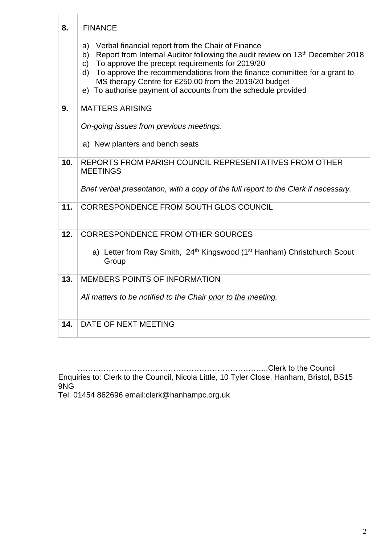| 8.  | <b>FINANCE</b><br>Verbal financial report from the Chair of Finance<br>a)<br>Report from Internal Auditor following the audit review on 13 <sup>th</sup> December 2018<br>b)<br>To approve the precept requirements for 2019/20<br>C)<br>To approve the recommendations from the finance committee for a grant to<br>d)<br>MS therapy Centre for £250.00 from the 2019/20 budget<br>e) To authorise payment of accounts from the schedule provided |
|-----|----------------------------------------------------------------------------------------------------------------------------------------------------------------------------------------------------------------------------------------------------------------------------------------------------------------------------------------------------------------------------------------------------------------------------------------------------|
| 9.  | <b>MATTERS ARISING</b>                                                                                                                                                                                                                                                                                                                                                                                                                             |
|     | On-going issues from previous meetings.<br>a) New planters and bench seats                                                                                                                                                                                                                                                                                                                                                                         |
| 10. | REPORTS FROM PARISH COUNCIL REPRESENTATIVES FROM OTHER<br><b>MEETINGS</b>                                                                                                                                                                                                                                                                                                                                                                          |
|     | Brief verbal presentation, with a copy of the full report to the Clerk if necessary.                                                                                                                                                                                                                                                                                                                                                               |
| 11. | CORRESPONDENCE FROM SOUTH GLOS COUNCIL                                                                                                                                                                                                                                                                                                                                                                                                             |
| 12. | <b>CORRESPONDENCE FROM OTHER SOURCES</b>                                                                                                                                                                                                                                                                                                                                                                                                           |
|     | a) Letter from Ray Smith, 24th Kingswood (1 <sup>st</sup> Hanham) Christchurch Scout<br>Group                                                                                                                                                                                                                                                                                                                                                      |
| 13. | MEMBERS POINTS OF INFORMATION                                                                                                                                                                                                                                                                                                                                                                                                                      |
|     | All matters to be notified to the Chair prior to the meeting.                                                                                                                                                                                                                                                                                                                                                                                      |
| 14. | DATE OF NEXT MEETING                                                                                                                                                                                                                                                                                                                                                                                                                               |

………………………………………………………………..Clerk to the Council

Enquiries to: Clerk to the Council, Nicola Little, 10 Tyler Close, Hanham, Bristol, BS15 9NG

Tel: 01454 862696 email:clerk@hanhampc.org.uk